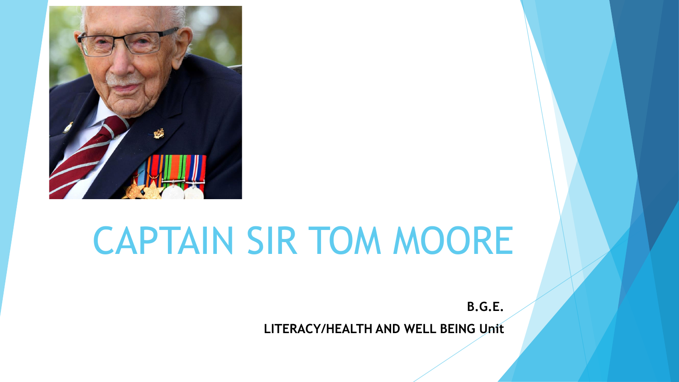

# CAPTAIN SIR TOM MOORE

**B.G.E. LITERACY/HEALTH AND WELL BEING Unit**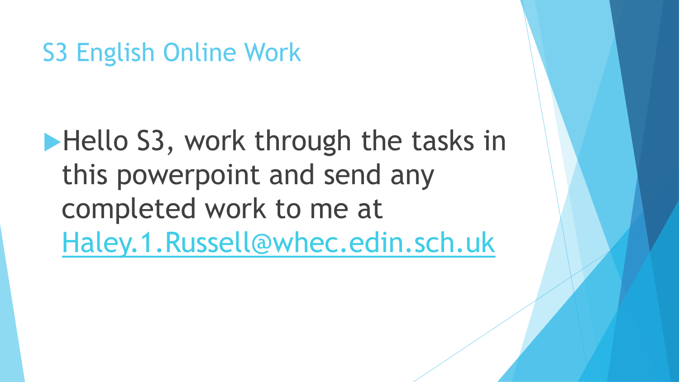S3 English Online Work

Hello S3, work through the tasks in this powerpoint and send any completed work to me at [Haley.1.Russell@whec.edin.sch.uk](mailto:Haley.1.Russell@whec.edin.sch.uk)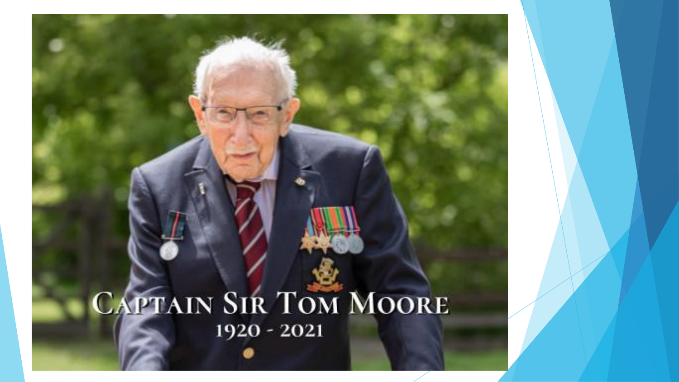### CAPTAIN SIR TOM MOORE 1920 - 2021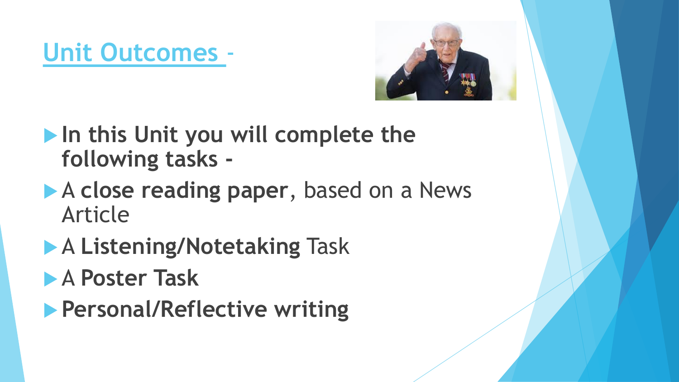### **Unit Outcomes** -



- **In this Unit you will complete the following tasks -**
- **A close reading paper**, based on a News Article
- A **Listening/Notetaking** Task
- A **Poster Task**
- **Personal/Reflective writing**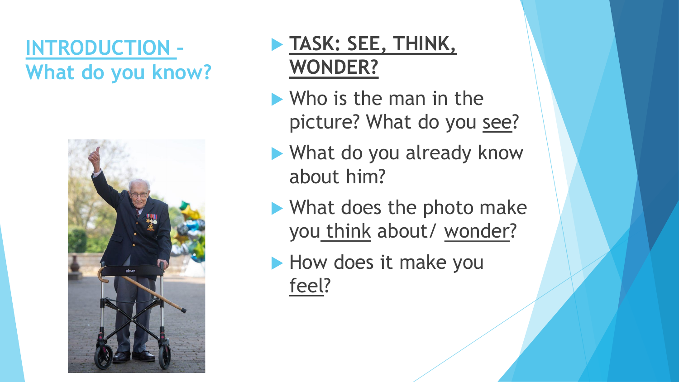#### **INTRODUCTION – What do you know?**



#### **TASK: SEE, THINK, WONDER?**

- Who is the man in the picture? What do you see?
- What do you already know about him?
- What does the photo make you think about/ wonder?
- How does it make you feel?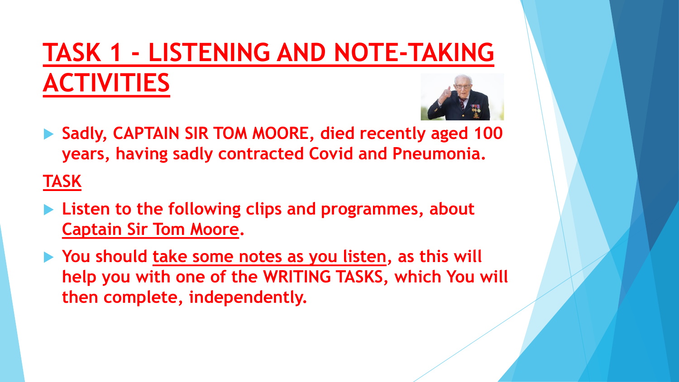## **TASK 1 - LISTENING AND NOTE-TAKING ACTIVITIES**



 **Sadly, CAPTAIN SIR TOM MOORE, died recently aged 100 years, having sadly contracted Covid and Pneumonia.** 

**TASK**

- **Listen to the following clips and programmes, about Captain Sir Tom Moore.**
- ▶ You should take some notes as you listen, as this will **help you with one of the WRITING TASKS, which You will then complete, independently.**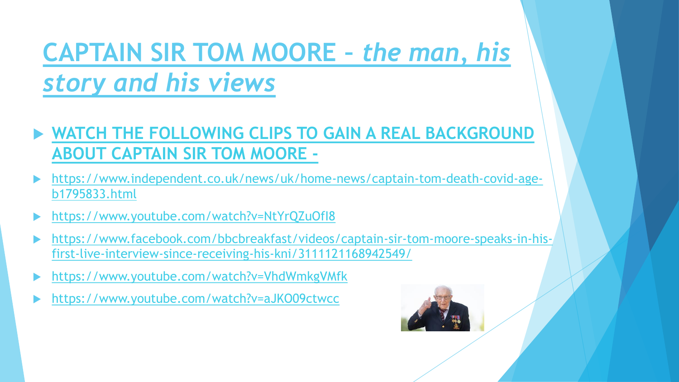### **CAPTAIN SIR TOM MOORE –** *the man, his story and his views*

- **[WATCH THE FOLLOWING CLIPS TO GAIN A REAL BACKGROUND](https://www.youtube.com/watch?v=NtYrQZuOfI8)  ABOUT CAPTAIN SIR TOM MOORE -**
- [https://www.independent.co.uk/news/uk/home-news/captain-tom-death-covid-age](https://www.youtube.com/watch?v=NtYrQZuOfI8)b1795833.html
- <https://www.youtube.com/watch?v=NtYrQZuOfI8>
- [https://www.facebook.com/bbcbreakfast/videos/captain-sir-tom-moore-speaks-in-his](https://www.facebook.com/bbcbreakfast/videos/captain-sir-tom-moore-speaks-in-his-first-live-interview-since-receiving-his-kni/3111121168942549/)first-live-interview-since-receiving-his-kni/3111121168942549/
- <https://www.youtube.com/watch?v=VhdWmkgVMfk>
- <https://www.youtube.com/watch?v=aJKO09ctwcc>

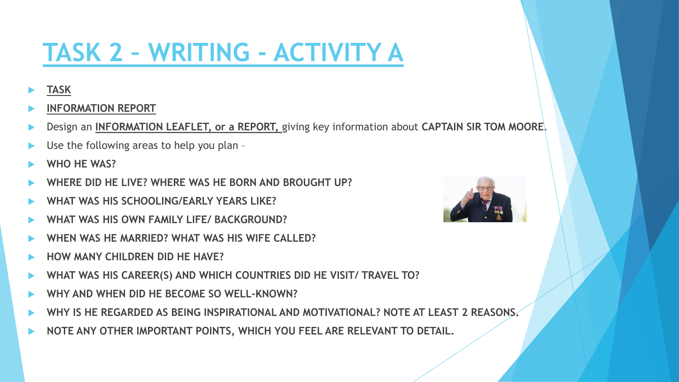### **TASK 2 – WRITING - ACTIVITY A**

#### **TASK**

- **INFORMATION REPORT**
- Design an **INFORMATION LEAFLET, or a REPORT,** giving key information about **CAPTAIN SIR TOM MOORE**.
- Use the following areas to help you plan –
- **WHO HE WAS?**
- **WHERE DID HE LIVE? WHERE WAS HE BORN AND BROUGHT UP?**
- **WHAT WAS HIS SCHOOLING/EARLY YEARS LIKE?**
- **WHAT WAS HIS OWN FAMILY LIFE/ BACKGROUND?**
- **WHEN WAS HE MARRIED? WHAT WAS HIS WIFE CALLED?**
- **HOW MANY CHILDREN DID HE HAVE?**
- **WHAT WAS HIS CAREER(S) AND WHICH COUNTRIES DID HE VISIT/ TRAVEL TO?**
- **WHY AND WHEN DID HE BECOME SO WELL-KNOWN?**
- **WHY IS HE REGARDED AS BEING INSPIRATIONAL AND MOTIVATIONAL? NOTE AT LEAST 2 REASONS.**
- **NOTE ANY OTHER IMPORTANT POINTS, WHICH YOU FEEL ARE RELEVANT TO DETAIL.**

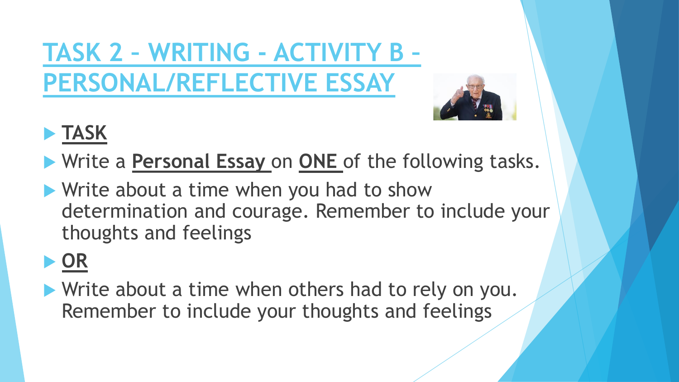**TASK 2 – WRITING - ACTIVITY B – PERSONAL/REFLECTIVE ESSAY**



### **TASK**

- Write a **Personal Essay** on **ONE** of the following tasks.
- Write about a time when you had to show determination and courage. Remember to include your thoughts and feelings

### **OR**

Write about a time when others had to rely on you. Remember to include your thoughts and feelings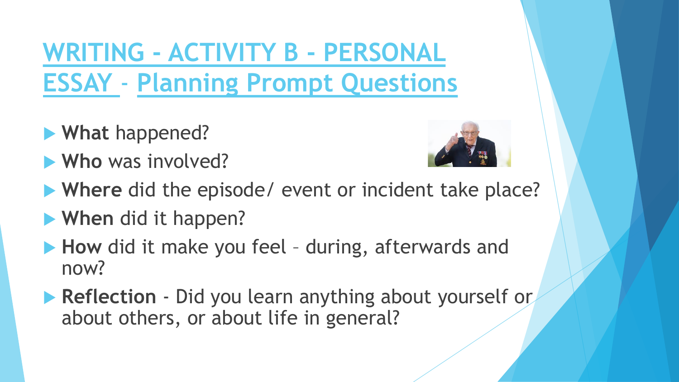**WRITING - ACTIVITY B - PERSONAL ESSAY** - **Planning Prompt Questions**

- **What** happened?
- **Who** was involved?



- **Where** did the episode/ event or incident take place?
- **When** did it happen?
- **How** did it make you feel during, afterwards and now?
- **Reflection** Did you learn anything about yourself or about others, or about life in general?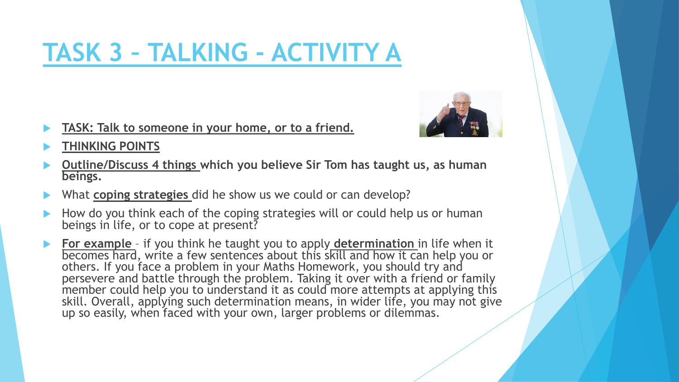### **TASK 3 – TALKING - ACTIVITY A**

**TASK: Talk to someone in your home, or to a friend.** 



- **THINKING POINTS**
- **Outline/Discuss 4 things which you believe Sir Tom has taught us, as human beings.**
- What **coping strategies** did he show us we could or can develop?
- How do you think each of the coping strategies will or could help us or human beings in life, or to cope at present?
- **► For example** if you think he taught you to apply **determination** in life when it becomes hard, write a few sentences about this skill and how it can help you or others. If you face a problem in your Maths Homework, you should try and persevere and battle through the problem. Taking it over with a friend or family member could help you to understand it as could more attempts at applying this skill. Overall, applying such determination means, in wider life, you may not give up so easily, when faced with your own, larger problems or dilemmas.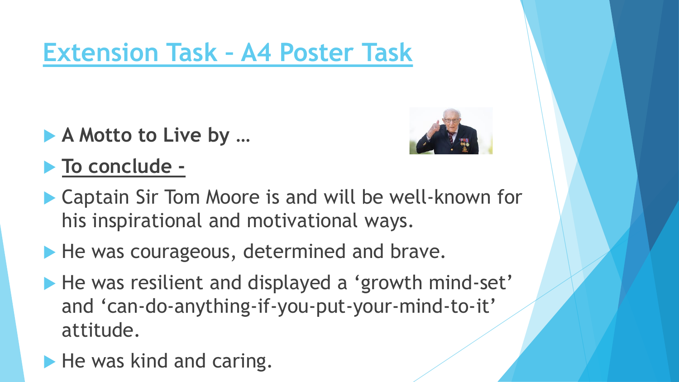### **Extension Task – A4 Poster Task**

- ▶ **A** Motto to Live by ...
- **To conclude -**



- ▶ Captain Sir Tom Moore is and will be well-known for his inspirational and motivational ways.
- He was courageous, determined and brave.
- He was resilient and displayed a 'growth mind-set' and 'can-do-anything-if-you-put-your-mind-to-it' attitude.
- $\blacktriangleright$  He was kind and caring.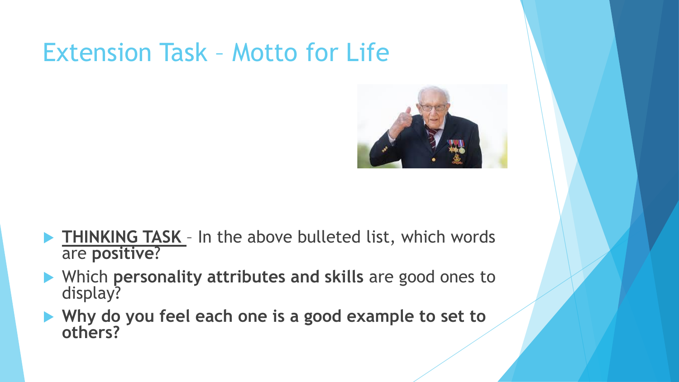### Extension Task – Motto for Life



- **FINKING TASK** In the above bulleted list, which words are **positive**?
- Which **personality attributes and skills** are good ones to display?
- ▶ Why do you feel each one is a good example to set to **others?**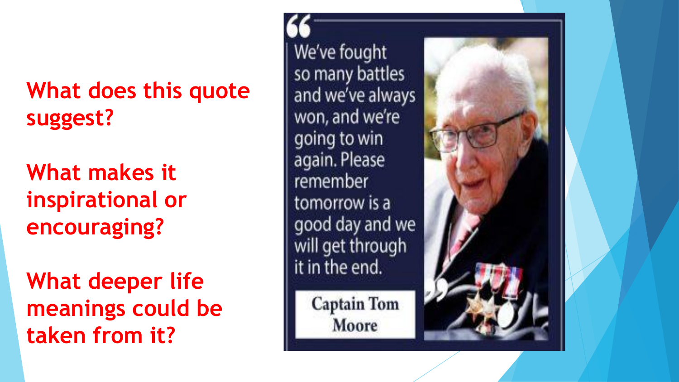**What does this quote suggest?**

**What makes it inspirational or encouraging?**

**What deeper life meanings could be taken from it?**

We've fought so many battles and we've always won, and we're going to win again. Please remember tomorrow is a good day and we will get through it in the end.

**Captain Tom** Moore

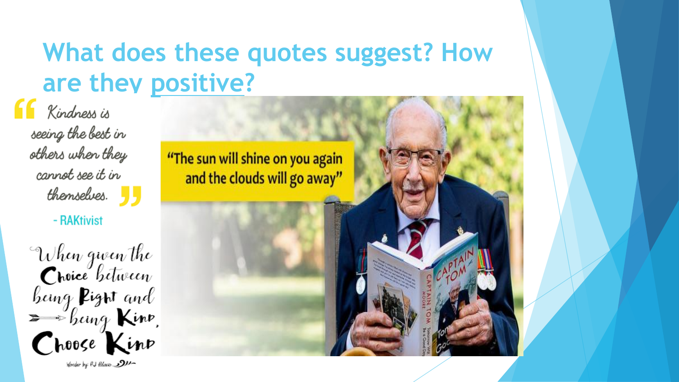### **What does these quotes suggest? How are they positive?**

Kindness is seeing the best in others when they cannot see it in  $thensebes.$ 

- RAKtivist

When gwen the<br>Croice between<br>being Pigrit and<br>Shoose Kinp Wonder by RJ filoso 2011

"The sun will shine on you again and the clouds will go away"